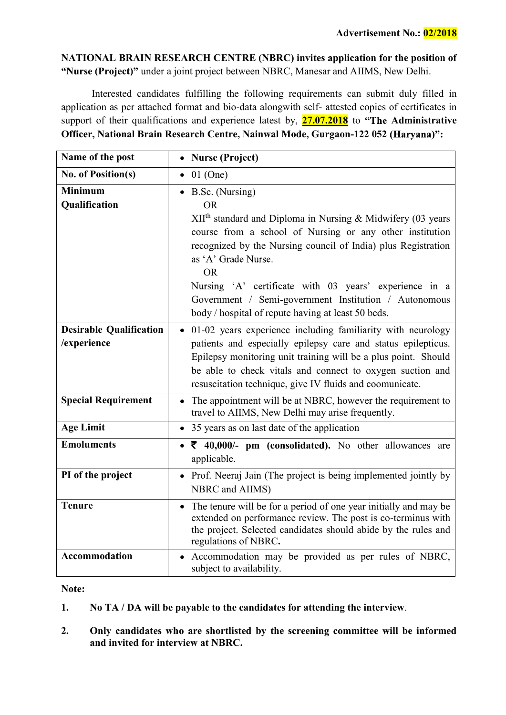NATIONAL BRAIN RESEARCH CENTRE (NBRC) invites application for the position of "Nurse (Project)" under a joint project between NBRC, Manesar and AIIMS, New Delhi.

Interested candidates fulfilling the following requirements can submit duly filled in application as per attached format and bio-data alongwith self- attested copies of certificates in support of their qualifications and experience latest by,  $27.07.2018$  to "The Administrative Officer, National Brain Research Centre, Nainwal Mode, Gurgaon-122 052

| Name of the post                              | <b>Nurse (Project)</b><br>$\bullet$                                                                                                                                                                                                                                                                                                                                                                                                                            |  |  |  |  |
|-----------------------------------------------|----------------------------------------------------------------------------------------------------------------------------------------------------------------------------------------------------------------------------------------------------------------------------------------------------------------------------------------------------------------------------------------------------------------------------------------------------------------|--|--|--|--|
| <b>No. of Position(s)</b>                     | $01$ (One)<br>$\bullet$                                                                                                                                                                                                                                                                                                                                                                                                                                        |  |  |  |  |
| <b>Minimum</b><br>Qualification               | B.Sc. (Nursing)<br>$\bullet$<br><b>OR</b><br>XII <sup>th</sup> standard and Diploma in Nursing & Midwifery (03 years<br>course from a school of Nursing or any other institution<br>recognized by the Nursing council of India) plus Registration<br>as 'A' Grade Nurse.<br><b>OR</b><br>Nursing 'A' certificate with 03 years' experience in a<br>Government / Semi-government Institution / Autonomous<br>body / hospital of repute having at least 50 beds. |  |  |  |  |
| <b>Desirable Qualification</b><br>/experience | · 01-02 years experience including familiarity with neurology<br>patients and especially epilepsy care and status epilepticus.<br>Epilepsy monitoring unit training will be a plus point. Should<br>be able to check vitals and connect to oxygen suction and<br>resuscitation technique, give IV fluids and coomunicate.                                                                                                                                      |  |  |  |  |
| <b>Special Requirement</b>                    | The appointment will be at NBRC, however the requirement to<br>$\bullet$<br>travel to AIIMS, New Delhi may arise frequently.                                                                                                                                                                                                                                                                                                                                   |  |  |  |  |
| <b>Age Limit</b>                              | 35 years as on last date of the application<br>$\bullet$                                                                                                                                                                                                                                                                                                                                                                                                       |  |  |  |  |
| <b>Emoluments</b>                             | $\bullet$ $\overline{\epsilon}$ 40,000/- pm (consolidated). No other allowances are<br>applicable.                                                                                                                                                                                                                                                                                                                                                             |  |  |  |  |
| PI of the project                             | • Prof. Neeraj Jain (The project is being implemented jointly by<br>NBRC and AIIMS)                                                                                                                                                                                                                                                                                                                                                                            |  |  |  |  |
| <b>Tenure</b>                                 | The tenure will be for a period of one year initially and may be<br>$\bullet$<br>extended on performance review. The post is co-terminus with<br>the project. Selected candidates should abide by the rules and<br>regulations of NBRC.                                                                                                                                                                                                                        |  |  |  |  |
| Accommodation                                 | Accommodation may be provided as per rules of NBRC,<br>$\bullet$<br>subject to availability.                                                                                                                                                                                                                                                                                                                                                                   |  |  |  |  |

## Note:

- 1. No TA / DA will be payable to the candidates for attending the interview.
- 2. Only candidates who are shortlisted by the screening committee will be informed and invited for interview at NBRC.